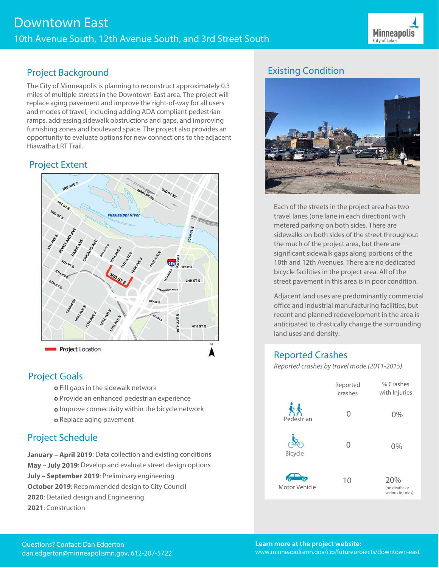

### Project Background

The City of Minneapolis is planning to reconstruct approximately 0.3 miles of multiple streets in the Downtown East area. The project will replace aging pavement and improve the right-of-way for all users and modes of travel, including adding ADA compliant pedestrian ramps, addressing sidewalk obstructions and gaps, and improving furnishing zones and boulevard space. The project also provides an opportunity to evaluate options for new connections to the adjacent Hiawatha LRT Trail.

#### Project Extent



#### Project Goals

- **o** Fill gaps in the sidewalk network
- **o** Provide an enhanced pedestrian experience
- **o** Improve connectivity within the bicycle network
- **o** Replace aging pavement

## Project Schedule

**January – April 2019**: Data collection and existing conditions **May – July 2019**: Develop and evaluate street design options **July – September 2019**: Preliminary engineering **October 2019**: Recommended design to City Council **2020**: Detailed design and Engineering **2021**: Construction

# Existing Condition



Each of the streets in the project area has two travel lanes (one lane in each direction) with metered parking on both sides. There are sidewalks on both sides of the street throughout the much of the project area, but there are significant sidewalk gaps along portions of the 10th and 12th Avenues. There are no dedicated bicycle facilities in the project area. All of the street pavement in this area is in poor condition.

Adjacent land uses are predominantly commercial office and industrial manufacturing facilities, but recent and planned redevelopment in the area is anticipated to drastically change the surrounding land uses and density.

## Reported Crashes

Reported crashes by travel mode (2011-2015)